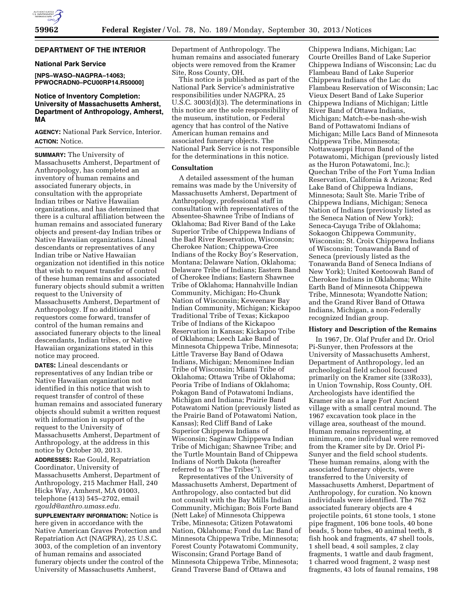# **DEPARTMENT OF THE INTERIOR**

# **National Park Service**

**[NPS–WASO–NAGPRA–14063; PPWOCRADN0–PCU00RP14.R50000]** 

# **Notice of Inventory Completion: University of Massachusetts Amherst, Department of Anthropology, Amherst, MA**

**AGENCY:** National Park Service, Interior. **ACTION:** Notice.

**SUMMARY:** The University of Massachusetts Amherst, Department of Anthropology, has completed an inventory of human remains and associated funerary objects, in consultation with the appropriate Indian tribes or Native Hawaiian organizations, and has determined that there is a cultural affiliation between the human remains and associated funerary objects and present-day Indian tribes or Native Hawaiian organizations. Lineal descendants or representatives of any Indian tribe or Native Hawaiian organization not identified in this notice that wish to request transfer of control of these human remains and associated funerary objects should submit a written request to the University of Massachusetts Amherst, Department of Anthropology. If no additional requestors come forward, transfer of control of the human remains and associated funerary objects to the lineal descendants, Indian tribes, or Native Hawaiian organizations stated in this notice may proceed.

**DATES:** Lineal descendants or representatives of any Indian tribe or Native Hawaiian organization not identified in this notice that wish to request transfer of control of these human remains and associated funerary objects should submit a written request with information in support of the request to the University of Massachusetts Amherst, Department of Anthropology, at the address in this notice by October 30, 2013.

**ADDRESSES:** Rae Gould, Repatriation Coordinator, University of Massachusetts Amherst, Department of Anthropology, 215 Machmer Hall, 240 Hicks Way, Amherst, MA 01003, telephone (413) 545–2702, email *[rgould@anthro.umass.edu.](mailto:rgould@anthro.umass.edu)* 

**SUPPLEMENTARY INFORMATION:** Notice is here given in accordance with the Native American Graves Protection and Repatriation Act (NAGPRA), 25 U.S.C. 3003, of the completion of an inventory of human remains and associated funerary objects under the control of the University of Massachusetts Amherst,

Department of Anthropology. The human remains and associated funerary objects were removed from the Kramer Site, Ross County, OH.

This notice is published as part of the National Park Service's administrative responsibilities under NAGPRA, 25 U.S.C. 3003(d)(3). The determinations in this notice are the sole responsibility of the museum, institution, or Federal agency that has control of the Native American human remains and associated funerary objects. The National Park Service is not responsible for the determinations in this notice.

# **Consultation**

A detailed assessment of the human remains was made by the University of Massachusetts Amherst, Department of Anthropology, professional staff in consultation with representatives of the Absentee-Shawnee Tribe of Indians of Oklahoma; Bad River Band of the Lake Superior Tribe of Chippewa Indians of the Bad River Reservation, Wisconsin; Cherokee Nation; Chippewa-Cree Indians of the Rocky Boy's Reservation, Montana; Delaware Nation, Oklahoma; Delaware Tribe of Indians; Eastern Band of Cherokee Indians; Eastern Shawnee Tribe of Oklahoma; Hannahville Indian Community, Michigan; Ho-Chunk Nation of Wisconsin; Keweenaw Bay Indian Community, Michigan; Kickapoo Traditional Tribe of Texas; Kickapoo Tribe of Indians of the Kickapoo Reservation in Kansas; Kickapoo Tribe of Oklahoma; Leech Lake Band of Minnesota Chippewa Tribe, Minnesota; Little Traverse Bay Band of Odawa Indians, Michigan; Menominee Indian Tribe of Wisconsin; Miami Tribe of Oklahoma; Ottawa Tribe of Oklahoma; Peoria Tribe of Indians of Oklahoma; Pokagon Band of Potawatomi Indians, Michigan and Indiana; Prairie Band Potawatomi Nation (previously listed as the Prairie Band of Potawatomi Nation, Kansas); Red Cliff Band of Lake Superior Chippewa Indians of Wisconsin; Saginaw Chippewa Indian Tribe of Michigan; Shawnee Tribe; and the Turtle Mountain Band of Chippewa Indians of North Dakota (hereafter referred to as ''The Tribes'').

Representatives of the University of Massachusetts Amherst, Department of Anthropology, also contacted but did not consult with the Bay Mills Indian Community, Michigan; Bois Forte Band (Nett Lake) of Minnesota Chippewa Tribe, Minnesota; Citizen Potawatomi Nation, Oklahoma; Fond du Lac Band of Minnesota Chippewa Tribe, Minnesota; Forest County Potawatomi Community, Wisconsin; Grand Portage Band of Minnesota Chippewa Tribe, Minnesota; Grand Traverse Band of Ottawa and

Chippewa Indians, Michigan; Lac Courte Oreilles Band of Lake Superior Chippewa Indians of Wisconsin; Lac du Flambeau Band of Lake Superior Chippewa Indians of the Lac du Flambeau Reservation of Wisconsin; Lac Vieux Desert Band of Lake Superior Chippewa Indians of Michigan; Little River Band of Ottawa Indians, Michigan; Match-e-be-nash-she-wish Band of Pottawatomi Indians of Michigan; Mille Lacs Band of Minnesota Chippewa Tribe, Minnesota; Nottawaseppi Huron Band of the Potawatomi, Michigan (previously listed as the Huron Potawatomi, Inc.); Quechan Tribe of the Fort Yuma Indian Reservation, California & Arizona; Red Lake Band of Chippewa Indians, Minnesota; Sault Ste. Marie Tribe of Chippewa Indians, Michigan; Seneca Nation of Indians (previously listed as the Seneca Nation of New York); Seneca-Cayuga Tribe of Oklahoma; Sokaogon Chippewa Community, Wisconsin; St. Croix Chippewa Indians of Wisconsin; Tonawanda Band of Seneca (previously listed as the Tonawanda Band of Seneca Indians of New York); United Keetoowah Band of Cherokee Indians in Oklahoma; White Earth Band of Minnesota Chippewa Tribe, Minnesota; Wyandotte Nation; and the Grand River Band of Ottawa Indians, Michigan, a non-Federally recognized Indian group.

## **History and Description of the Remains**

In 1967, Dr. Olaf Prufer and Dr. Oriol Pi-Sunyer, then Professors at the University of Massachusetts Amherst, Department of Anthropology, led an archeological field school focused primarily on the Kramer site (33Ro33), in Union Township, Ross County, OH. Archeologists have identified the Kramer site as a large Fort Ancient village with a small central mound. The 1967 excavation took place in the village area, southeast of the mound. Human remains representing, at minimum, one individual were removed from the Kramer site by Dr. Oriol Pi-Sunyer and the field school students. These human remains, along with the associated funerary objects, were transferred to the University of Massachusetts Amherst, Department of Anthropology, for curation. No known individuals were identified. The 762 associated funerary objects are 4 projectile points, 61 stone tools, 1 stone pipe fragment, 106 bone tools, 40 bone beads, 5 bone tubes, 40 animal teeth, 8 fish hook and fragments, 47 shell tools, 1 shell bead, 4 soil samples, 2 clay fragments, 1 wattle and daub fragment, 1 charred wood fragment, 2 wasp nest fragments, 43 lots of faunal remains, 198